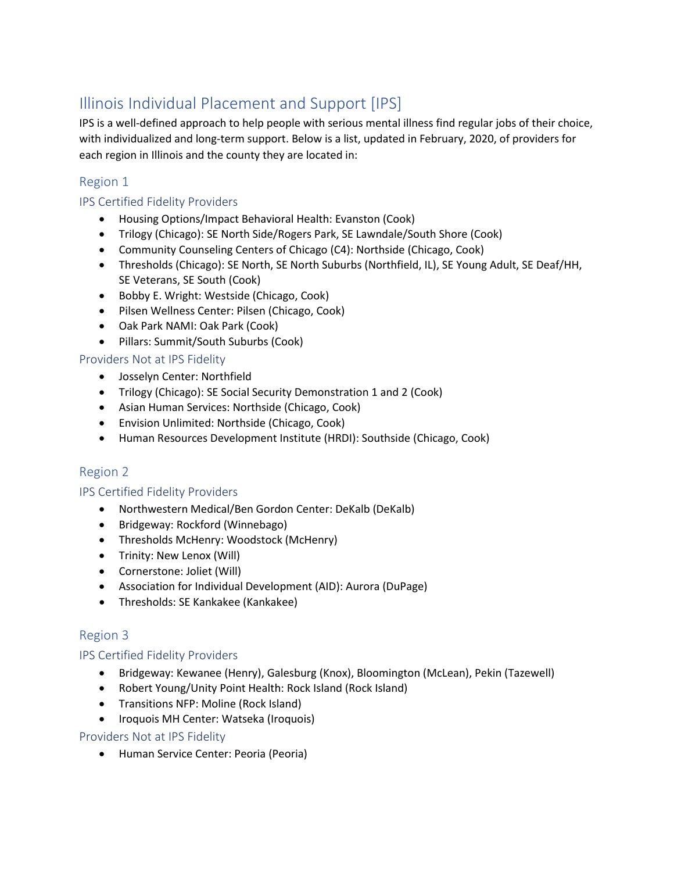## Illinois Individual Placement and Support [IPS]

IPS is a well-defined approach to help people with serious mental illness find regular jobs of their choice, with individualized and long-term support. Below is a list, updated in February, 2020, of providers for each region in Illinois and the county they are located in:

### Region 1

#### IPS Certified Fidelity Providers

- Housing Options/Impact Behavioral Health: Evanston (Cook)
- Trilogy (Chicago): SE North Side/Rogers Park, SE Lawndale/South Shore (Cook)
- Community Counseling Centers of Chicago (C4): Northside (Chicago, Cook)
- Thresholds (Chicago): SE North, SE North Suburbs (Northfield, IL), SE Young Adult, SE Deaf/HH, SE Veterans, SE South (Cook)
- Bobby E. Wright: Westside (Chicago, Cook)
- Pilsen Wellness Center: Pilsen (Chicago, Cook)
- Oak Park NAMI: Oak Park (Cook)
- Pillars: Summit/South Suburbs (Cook)
- Providers Not at IPS Fidelity
	- Josselyn Center: Northfield
	- Trilogy (Chicago): SE Social Security Demonstration 1 and 2 (Cook)
	- Asian Human Services: Northside (Chicago, Cook)
	- Envision Unlimited: Northside (Chicago, Cook)
	- Human Resources Development Institute (HRDI): Southside (Chicago, Cook)

## Region 2

#### IPS Certified Fidelity Providers

- Northwestern Medical/Ben Gordon Center: DeKalb (DeKalb)
- Bridgeway: Rockford (Winnebago)
- Thresholds McHenry: Woodstock (McHenry)
- Trinity: New Lenox (Will)
- Cornerstone: Joliet (Will)
- Association for Individual Development (AID): Aurora (DuPage)
- Thresholds: SE Kankakee (Kankakee)

## Region 3

#### IPS Certified Fidelity Providers

- Bridgeway: Kewanee (Henry), Galesburg (Knox), Bloomington (McLean), Pekin (Tazewell)
- Robert Young/Unity Point Health: Rock Island (Rock Island)
- Transitions NFP: Moline (Rock Island)
- Iroquois MH Center: Watseka (Iroquois)

#### Providers Not at IPS Fidelity

• Human Service Center: Peoria (Peoria)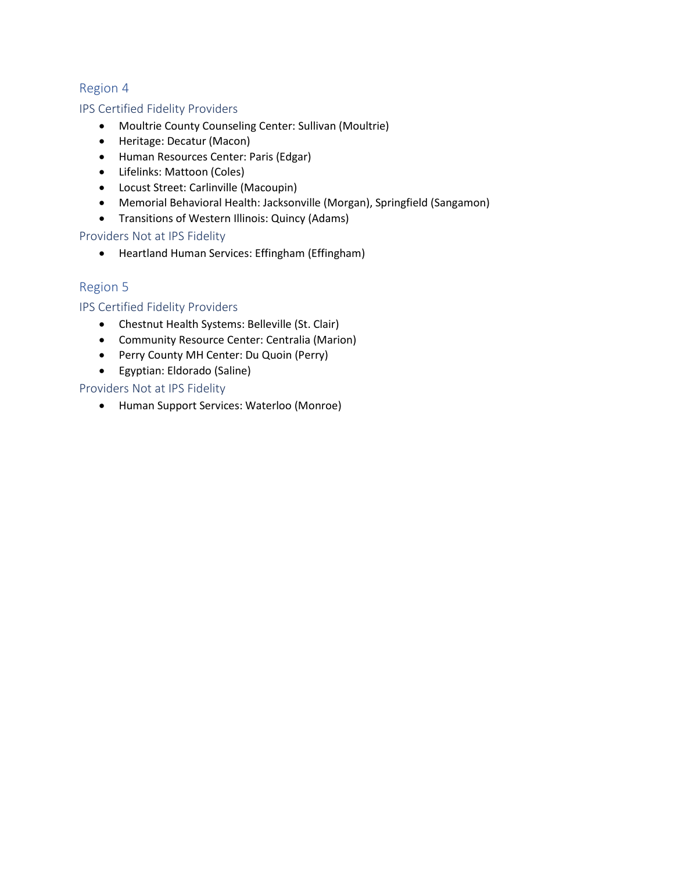#### Region 4

#### IPS Certified Fidelity Providers

- Moultrie County Counseling Center: Sullivan (Moultrie)
- Heritage: Decatur (Macon)
- Human Resources Center: Paris (Edgar)
- Lifelinks: Mattoon (Coles)
- Locust Street: Carlinville (Macoupin)
- Memorial Behavioral Health: Jacksonville (Morgan), Springfield (Sangamon)
- Transitions of Western Illinois: Quincy (Adams)

Providers Not at IPS Fidelity

• Heartland Human Services: Effingham (Effingham)

#### Region 5

IPS Certified Fidelity Providers

- Chestnut Health Systems: Belleville (St. Clair)
- Community Resource Center: Centralia (Marion)
- Perry County MH Center: Du Quoin (Perry)
- Egyptian: Eldorado (Saline)

#### Providers Not at IPS Fidelity

• Human Support Services: Waterloo (Monroe)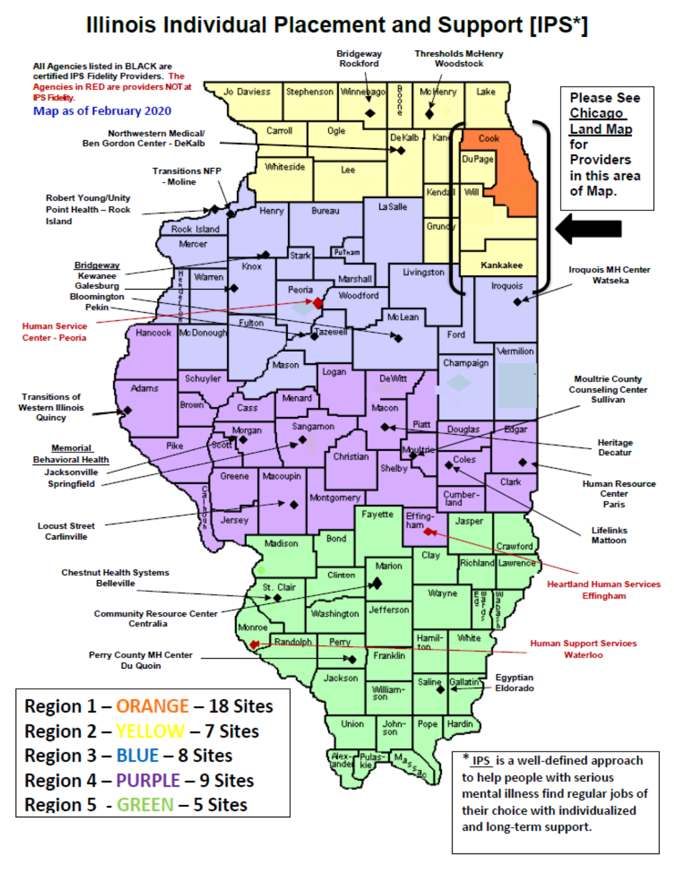# **Illinois Individual Placement and Support [IPS\*]**